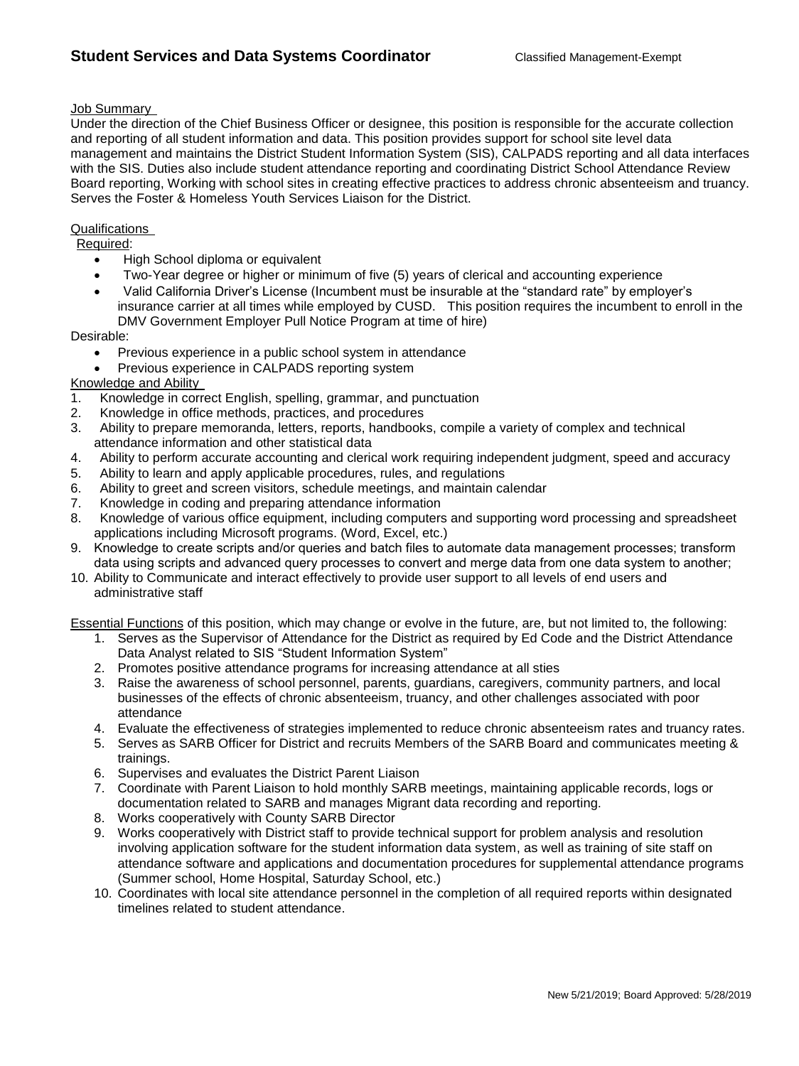## Job Summary

Under the direction of the Chief Business Officer or designee, this position is responsible for the accurate collection and reporting of all student information and data. This position provides support for school site level data management and maintains the District Student Information System (SIS), CALPADS reporting and all data interfaces with the SIS. Duties also include student attendance reporting and coordinating District School Attendance Review Board reporting, Working with school sites in creating effective practices to address chronic absenteeism and truancy. Serves the Foster & Homeless Youth Services Liaison for the District.

## **Qualifications**

Required:

- High School diploma or equivalent
- Two-Year degree or higher or minimum of five (5) years of clerical and accounting experience
- Valid California Driver's License (Incumbent must be insurable at the "standard rate" by employer's insurance carrier at all times while employed by CUSD. This position requires the incumbent to enroll in the DMV Government Employer Pull Notice Program at time of hire)

Desirable:

- Previous experience in a public school system in attendance
- Previous experience in CALPADS reporting system

## Knowledge and Ability

- 1. Knowledge in correct English, spelling, grammar, and punctuation
- 2. Knowledge in office methods, practices, and procedures
- 3. Ability to prepare memoranda, letters, reports, handbooks, compile a variety of complex and technical attendance information and other statistical data
- 4. Ability to perform accurate accounting and clerical work requiring independent judgment, speed and accuracy
- 5. Ability to learn and apply applicable procedures, rules, and regulations
- 6. Ability to greet and screen visitors, schedule meetings, and maintain calendar
- 7. Knowledge in coding and preparing attendance information
- 8. Knowledge of various office equipment, including computers and supporting word processing and spreadsheet applications including Microsoft programs. (Word, Excel, etc.)
- 9. Knowledge to create scripts and/or queries and batch files to automate data management processes; transform data using scripts and advanced query processes to convert and merge data from one data system to another;
- 10. Ability to Communicate and interact effectively to provide user support to all levels of end users and administrative staff

Essential Functions of this position, which may change or evolve in the future, are, but not limited to, the following:

- 1. Serves as the Supervisor of Attendance for the District as required by Ed Code and the District Attendance Data Analyst related to SIS "Student Information System"
- 2. Promotes positive attendance programs for increasing attendance at all sties
- 3. Raise the awareness of school personnel, parents, guardians, caregivers, community partners, and local businesses of the effects of chronic absenteeism, truancy, and other challenges associated with poor attendance
- 4. Evaluate the effectiveness of strategies implemented to reduce chronic absenteeism rates and truancy rates.
- 5. Serves as SARB Officer for District and recruits Members of the SARB Board and communicates meeting & trainings.
- 6. Supervises and evaluates the District Parent Liaison
- 7. Coordinate with Parent Liaison to hold monthly SARB meetings, maintaining applicable records, logs or documentation related to SARB and manages Migrant data recording and reporting.
- 8. Works cooperatively with County SARB Director
- 9. Works cooperatively with District staff to provide technical support for problem analysis and resolution involving application software for the student information data system, as well as training of site staff on attendance software and applications and documentation procedures for supplemental attendance programs (Summer school, Home Hospital, Saturday School, etc.)
- 10. Coordinates with local site attendance personnel in the completion of all required reports within designated timelines related to student attendance.